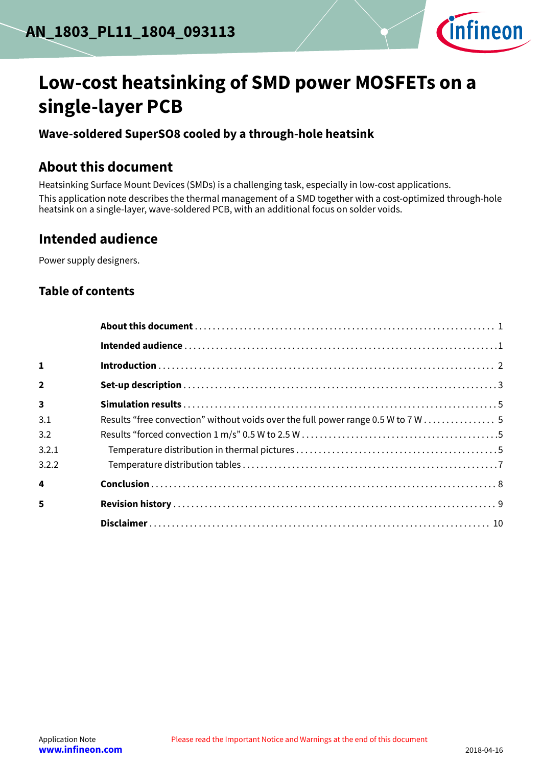

# **Low-cost heatsinking of SMD power MOSFETs on a single-layer PCB**

### **Wave-soldered SuperSO8 cooled by a through-hole heatsink**

### **About this document**

Heatsinking Surface Mount Devices (SMDs) is a challenging task, especially in low-cost applications. This application note describes the thermal management of a SMD together with a cost-optimized through-hole heatsink on a single-layer, wave-soldered PCB, with an additional focus on solder voids.

### **Intended audience**

Power supply designers.

### **Table of contents**

| $\mathbf{1}$            |                                                                                   |
|-------------------------|-----------------------------------------------------------------------------------|
| $\overline{\mathbf{z}}$ |                                                                                   |
| $\overline{\mathbf{3}}$ |                                                                                   |
| 3.1                     | Results "free convection" without voids over the full power range 0.5 W to 7 W  5 |
| 3.2                     |                                                                                   |
| 3.2.1                   |                                                                                   |
| 3.2.2                   |                                                                                   |
| 4                       |                                                                                   |
| 5                       |                                                                                   |
|                         |                                                                                   |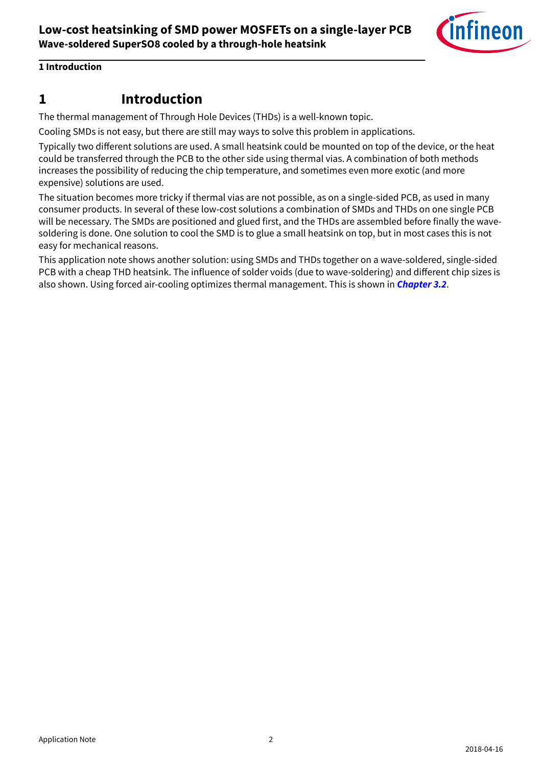

#### <span id="page-1-0"></span>**1 Introduction**

### **1 Introduction**

The thermal management of Through Hole Devices (THDs) is a well-known topic.

Cooling SMDs is not easy, but there are still may ways to solve this problem in applications.

Typically two different solutions are used. A small heatsink could be mounted on top of the device, or the heat could be transferred through the PCB to the other side using thermal vias. A combination of both methods increases the possibility of reducing the chip temperature, and sometimes even more exotic (and more expensive) solutions are used.

The situation becomes more tricky if thermal vias are not possible, as on a single-sided PCB, as used in many consumer products. In several of these low-cost solutions a combination of SMDs and THDs on one single PCB will be necessary. The SMDs are positioned and glued first, and the THDs are assembled before finally the wavesoldering is done. One solution to cool the SMD is to glue a small heatsink on top, but in most cases this is not easy for mechanical reasons.

This application note shows another solution: using SMDs and THDs together on a wave-soldered, single-sided PCB with a cheap THD heatsink. The influence of solder voids (due to wave-soldering) and different chip sizes is also shown. Using forced air-cooling optimizes thermal management. This is shown in **[Chapter 3.2](#page-4-0)**.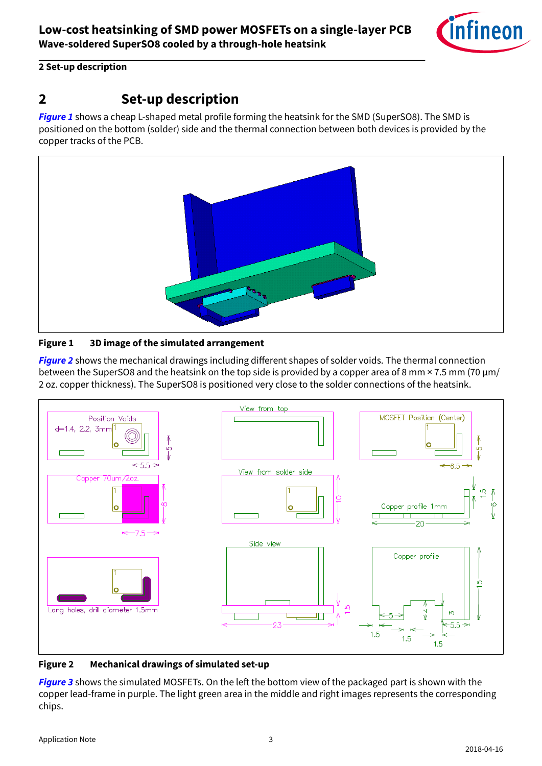

#### <span id="page-2-0"></span>**2 Set-up description**

## **2 Set-up description**

**Figure 1** shows a cheap L-shaped metal profile forming the heatsink for the SMD (SuperSO8). The SMD is positioned on the bottom (solder) side and the thermal connection between both devices is provided by the copper tracks of the PCB.



#### **Figure 1 3D image of the simulated arrangement**

**Figure 2** shows the mechanical drawings including different shapes of solder voids. The thermal connection between the SuperSO8 and the heatsink on the top side is provided by a copper area of 8 mm  $\times$  7.5 mm (70  $\mu$ m/ 2 oz. copper thickness). The SuperSO8 is positioned very close to the solder connections of the heatsink.



#### **Figure 2 Mechanical drawings of simulated set-up**

**[Figure 3](#page-3-0)** shows the simulated MOSFETs. On the left the bottom view of the packaged part is shown with the copper lead-frame in purple. The light green area in the middle and right images represents the corresponding chips.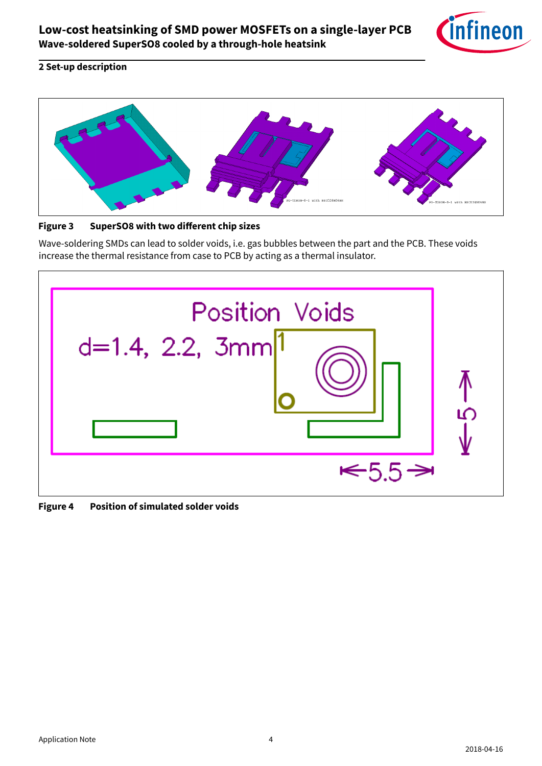

#### <span id="page-3-0"></span>**2 Set-up description**



Figure 3 SuperSO8 with two different chip sizes

Wave-soldering SMDs can lead to solder voids, i.e. gas bubbles between the part and the PCB. These voids increase the thermal resistance from case to PCB by acting as a thermal insulator.

| <b>Position Voids</b><br>$d=1.4$ , 2.2, 3mm $ 1$ |  |
|--------------------------------------------------|--|
| →<br>$\leq 5.5$                                  |  |

**Figure 4 Position of simulated solder voids**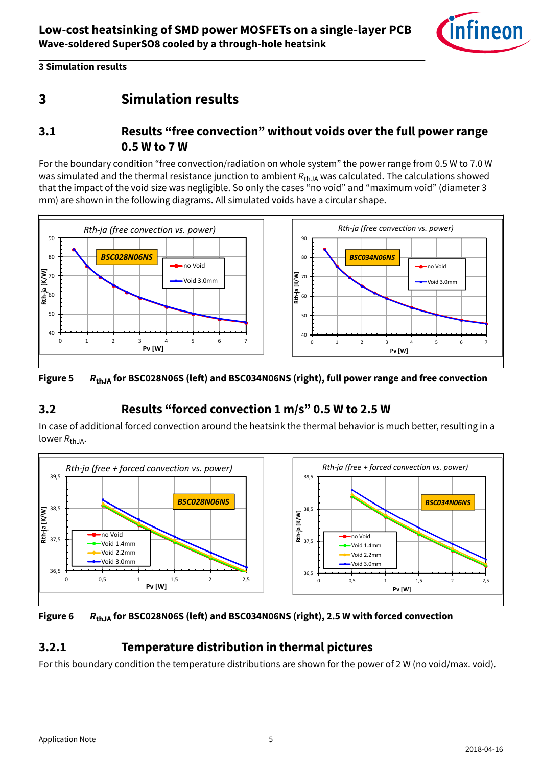

#### <span id="page-4-0"></span>**3 Simulation results**

## **3 Simulation results**

### **3.1 Results "free convection" without voids over the full power range 0.5 W to 7 W**

For the boundary condition "free convection/radiation on whole system" the power range from 0.5 W to 7.0 W was simulated and the thermal resistance junction to ambient  $R_{thJA}$  was calculated. The calculations showed that the impact of the void size was negligible. So only the cases "no void" and "maximum void" (diameter 3 mm) are shown in the following diagrams. All simulated voids have a circular shape.



#### **Figure 5 R**<sub>thJA</sub> for BSC028N06S (left) and BSC034N06NS (right), full power range and free convection

### **3.2 Results "forced convection 1 m/s" 0.5 W to 2.5 W**

In case of additional forced convection around the heatsink the thermal behavior is much better, resulting in a lower  $R_{thJA}$ .





### **3.2.1 Temperature distribution in thermal pictures**

For this boundary condition the temperature distributions are shown for the power of 2 W (no void/max. void).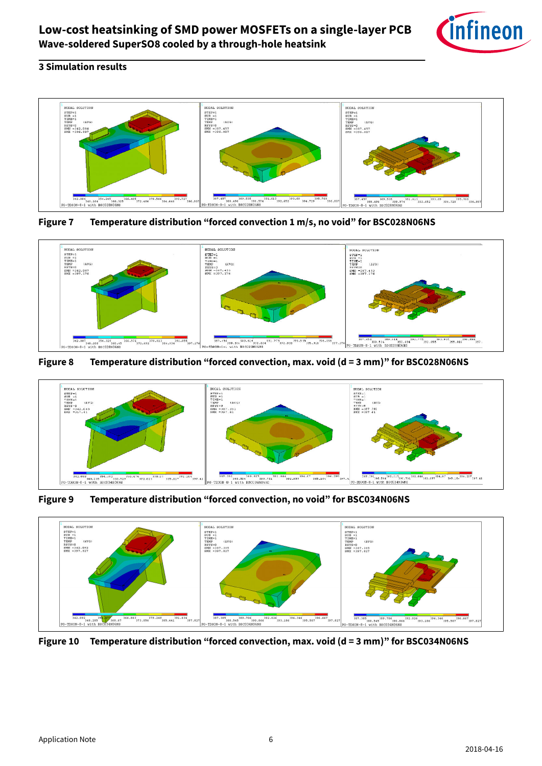#### **3 Simulation results**



**Figure 7 Temperature distribution "forced convection 1 m/s, no void" for BSC028N06NS**



**Figure 8 Temperature distribution "forced convection, max. void (d = 3 mm)" for BSC028N06NS**



**Figure 9 Temperature distribution "forced convection, no void" for BSC034N06NS**



**Figure 10 Temperature distribution "forced convection, max. void (d = 3 mm)" for BSC034N06NS**



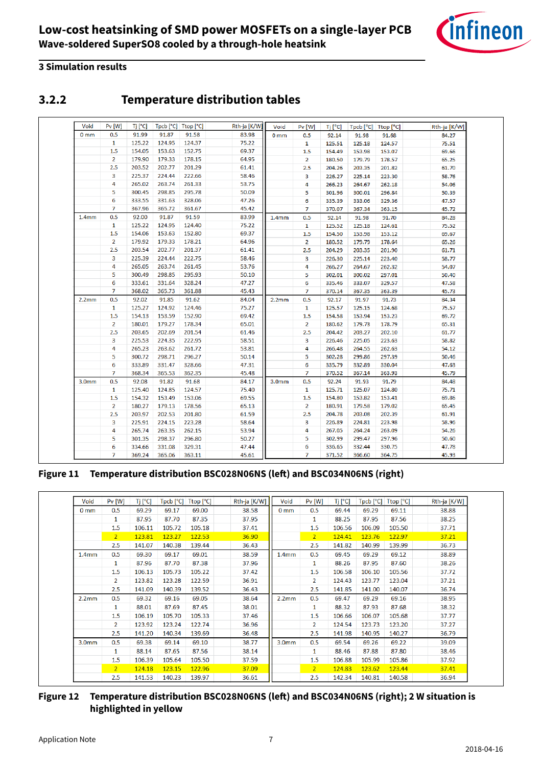

#### <span id="page-6-0"></span>**3 Simulation results**

### **3.2.2 Temperature distribution tables**

| Void              | Pv [W]           | Tj [°C] |        | Tpcb [°C] Ttop [°C] | Rth-ja [K/W] | Void              | Pv [W]         | Tj [°C] |        | Tpcb [°C]   Ttop [°C] | Rth-ja [K/W] |
|-------------------|------------------|---------|--------|---------------------|--------------|-------------------|----------------|---------|--------|-----------------------|--------------|
| 0 <sub>mm</sub>   | 0.5              | 91.99   | 91.87  | 91.58               | 83.98        | 0 <sub>mm</sub>   | 0.5            | 92.14   | 91.98  | 91.68                 | 84.27        |
|                   | $\mathbf{1}$     | 125.22  | 124.95 | 124.37              | 75.22        |                   | 1              | 125.51  | 125.18 | 124.57                | 75.51        |
|                   | 1.5              | 154.05  | 153.63 | 152.75              | 69.37        |                   | 1.5            | 154.49  | 153.98 | 153.07                | 69.66        |
|                   | $\overline{2}$   | 179.90  | 179.33 | 178.15              | 64.95        |                   | $\overline{2}$ | 180.50  | 179.79 | 178.57                | 65.25        |
|                   | 2.5              | 203.52  | 202.77 | 201.29              | 61.41        |                   | 2.5            | 204.26  | 203.35 | 201.82                | 61.70        |
|                   | 3                | 225.37  | 224.44 | 222.66              | 58.46        |                   | 3              | 226.27  | 225.14 | 223.30                | 58.76        |
|                   | 4                | 265.02  | 263.74 | 261.33              | 53.75        |                   | 4              | 266.23  | 264.67 | 262.18                | 54.06        |
|                   | 5                | 300.45  | 298.85 | 295.78              | 50.09        |                   | 5              | 301.96  | 300.01 | 296.84                | 50.39        |
|                   | 6                | 333.55  | 331.63 | 328.06              | 47.26        |                   | 6              | 335.39  | 333.06 | 329.36                | 47.57        |
|                   | $\overline{7}$   | 367.96  | 365.72 | 361.67              | 45.42        |                   | 7              | 370.07  | 367.34 | 363.15                | 45.72        |
| 1.4 <sub>mm</sub> | 0.5              | 92.00   | 91.87  | 91.59               | 83.99        | 1.4 <sub>mm</sub> | 0.5            | 92.14   | 91.98  | 91.70                 | 84.28        |
|                   | 1                | 125.22  | 124.95 | 124.40              | 75.22        |                   | $\mathbf{1}$   | 125.52  | 125.18 | 124.61                | 75.52        |
|                   | 1.5              | 154.06  | 153.63 | 152.80              | 69.37        |                   | 1.5            | 154.50  | 153.98 | 153.12                | 69.67        |
|                   | $\overline{2}$   | 179.92  | 179.33 | 178.21              | 64.96        |                   | 2              | 180.52  | 179.79 | 178.64                | 65.26        |
|                   | 2.5              | 203.54  | 202.77 | 201.37              | 61.41        |                   | 2.5            | 204.29  | 203.35 | 201.90                | 61.71        |
|                   | 3                | 225.39  | 224.44 | 222.75              | 58.46        |                   | з              | 226.30  | 225.14 | 223.40                | 58.77        |
|                   | 4                | 265.05  | 263.74 | 261.45              | 53.76        |                   | 4              | 266.27  | 264.67 | 262.32                | 54.07        |
|                   | 5                | 300.49  | 298.85 | 295.93              | 50.10        |                   | 5              | 302.01  | 300.02 | 297.01                | 50.40        |
|                   | 6                | 333.61  | 331.64 | 328.24              | 47.27        |                   | 6              | 335.46  | 333.07 | 329.57                | 47.58        |
|                   | $\overline{7}$   | 368.02  | 365.73 | 361.88              | 45.43        |                   | $\overline{7}$ | 370.14  | 367.35 | 363.39                | 45.73        |
| 2.2 <sub>mm</sub> | 0.5              | 92.02   | 91.85  | 91.62               | 84.04        | 2.2mm             | 0.5            | 92.17   | 91.97  | 91.73                 | 84.34        |
|                   | 1                | 125.27  | 124.92 | 124.46              | 75.27        |                   | 1              | 125.57  | 125.15 | 124.68                | 75.57        |
|                   | 1.5              | 154.13  | 153.59 | 152.90              | 69.42        |                   | 1.5            | 154.58  | 153.94 | 153.23                | 69.72        |
|                   | $\overline{2}$   | 180.01  | 179.27 | 178.34              | 65.01        |                   | $\overline{2}$ | 180.62  | 179.73 | 178.79                | 65.31        |
|                   | 2.5              | 203.65  | 202.69 | 201.54              | 61.46        |                   | 2.5            | 204.42  | 203.27 | 202.10                | 61.77        |
|                   | 3                | 225.53  | 224.35 | 222.95              | 58.51        |                   | 3              | 226.46  | 225.05 | 223.63                | 58.82        |
|                   | 4                | 265.23  | 263.62 | 261.72              | 53.81        |                   | 4              | 266.48  | 264.55 | 262.63                | 54.12        |
|                   | 5                | 300.72  | 298.71 | 296.27              | 50.14        |                   | 5              | 302.28  | 299.86 | 297.39                | 50.46        |
|                   | $\boldsymbol{6}$ | 333.89  | 331.47 | 328.66              | 47.31        |                   | 6              | 335.79  | 332.89 | 330.04                | 47.63        |
|                   | $\overline{7}$   | 368.34  | 365.53 | 362.35              | 45.48        |                   | 7              | 370.52  | 367.14 | 363.93                | 45.79        |
| 3.0 <sub>mm</sub> | 0.5              | 92.08   | 91.82  | 91.68               | 84.17        | 3.0 <sub>mm</sub> | 0.5            | 92.24   | 91.93  | 91.79                 | 84.48        |
|                   | $\mathbf{1}$     | 125.40  | 124.85 | 124.57              | 75.40        |                   | 1              | 125.71  | 125.07 | 124.80                | 75.71        |
|                   | $1.5\,$          | 154.32  | 153.49 | 153.06              | 69.55        |                   | 1.5            | 154.80  | 153.82 | 153.41                | 69.86        |
|                   | $\overline{2}$   | 180.27  | 179.13 | 178.56              | 65.13        |                   | $\overline{2}$ | 180.91  | 179.58 | 179.02                | 65.45        |
|                   | 2.5              | 203.97  | 202.53 | 201.80              | 61.59        |                   | 2.5            | 204.78  | 203.08 | 202.39                | 61.91        |
|                   | 3                | 225.91  | 224.15 | 223.28              | 58.64        |                   | 3              | 226.89  | 224.81 | 223.98                | 58.96        |
|                   | 4                | 265.74  | 263.35 | 262.15              | 53.94        |                   | 4              | 267.05  | 264.24 | 263.09                | 54.26        |
|                   | 5                | 301.35  | 298.37 | 296.80              | 50.27        |                   | 5              | 302.99  | 299.47 | 297.96                | 50.60        |
|                   | 6                | 334.66  | 331.08 | 329.31              | 47.44        |                   | 6              | 336.65  | 332.44 | 330.75                | 47.78        |
|                   | $\overline{7}$   | 369.24  | 365.06 | 363.11              | 45.61        |                   | 7              | 371.52  | 366.60 | 364.75                | 45.93        |

#### Figure 11 Temperature distribution BSC028N06NS (left) and BSC034N06NS (right)

| Void              | P <sub>V</sub> [W] | Tj [°C] | $\mathsf{Top}[^{\circ}C]$ | Ttop [°C] | Rth-ja [K/W] | Void              | P <sub>V</sub> [W] | Tj [°C] | $\mathsf{Top}[^{\circ}C]$ | $\mathsf{Ttop}\left[\mathrm{°C}\right]$ | Rth-ja [K/W] |
|-------------------|--------------------|---------|---------------------------|-----------|--------------|-------------------|--------------------|---------|---------------------------|-----------------------------------------|--------------|
| 0 <sub>mm</sub>   | 0.5                | 69.29   | 69.17                     | 69.00     | 38.58        | 0 <sub>mm</sub>   | 0.5                | 69.44   | 69.29                     | 69.11                                   | 38.88        |
|                   | 1                  | 87.95   | 87.70                     | 87.35     | 37.95        |                   | 1                  | 88.25   | 87.95                     | 87.56                                   | 38.25        |
|                   | 1.5                | 106.11  | 105.72                    | 105.18    | 37.41        |                   | 1.5                | 106.56  | 106.09                    | 105.50                                  | 37.71        |
|                   | $\overline{2}$     | 123.81  | 123.27                    | 122.53    | 36.90        |                   | $\overline{2}$     | 124.41  | 123.76                    | 122.97                                  | 37.21        |
|                   | 2.5                | 141.07  | 140.38                    | 139.44    | 36.43        |                   | 2.5                | 141.82  | 140.99                    | 139.99                                  | 36.73        |
| 1.4 <sub>mm</sub> | 0.5                | 69.30   | 69.17                     | 69.01     | 38.59        | 1.4 <sub>mm</sub> | 0.5                | 69.45   | 69.29                     | 69.12                                   | 38.89        |
|                   | 1                  | 87.96   | 87.70                     | 87.38     | 37.96        |                   | 1                  | 88.26   | 87.95                     | 87.60                                   | 38.26        |
|                   | 1.5                | 106.13  | 105.73                    | 105.22    | 37.42        |                   | 1.5                | 106.58  | 106.10                    | 105.56                                  | 37.72        |
|                   | $\overline{2}$     | 123.82  | 123.28                    | 122.59    | 36.91        |                   | $\overline{2}$     | 124.43  | 123.77                    | 123.04                                  | 37.21        |
|                   | 2.5                | 141.09  | 140.39                    | 139.52    | 36.43        |                   | 2.5                | 141.85  | 141.00                    | 140.07                                  | 36.74        |
| 2.2 <sub>mm</sub> | 0.5                | 69.32   | 69.16                     | 69.05     | 38.64        | 2.2 <sub>mm</sub> | 0.5                | 69.47   | 69.29                     | 69.16                                   | 38.95        |
|                   | 1                  | 88.01   | 87.69                     | 87.45     | 38.01        |                   | 1                  | 88.32   | 87.93                     | 87.68                                   | 38.32        |
|                   | 1.5                | 106.19  | 105.70                    | 105.33    | 37.46        |                   | 1.5                | 106.66  | 106.07                    | 105.68                                  | 37.77        |
|                   | $\overline{2}$     | 123.92  | 123.24                    | 122.74    | 36.96        |                   | 2                  | 124.54  | 123.73                    | 123.20                                  | 37.27        |
|                   | 2.5                | 141.20  | 140.34                    | 139.69    | 36.48        |                   | 2.5                | 141.98  | 140.95                    | 140.27                                  | 36.79        |
| 3.0 <sub>mm</sub> | 0.5                | 69.38   | 69.14                     | 69.10     | 38.77        | 3.0 <sub>mm</sub> | 0.5                | 69.54   | 69.26                     | 69.22                                   | 39.09        |
|                   | 1                  | 88.14   | 87.65                     | 87.56     | 38.14        |                   | 1                  | 88.46   | 87.88                     | 87.80                                   | 38.46        |
|                   | 1.5                | 106.39  | 105.64                    | 105.50    | 37.59        |                   | 1.5                | 106.88  | 105.99                    | 105.86                                  | 37.92        |
|                   | $\overline{2}$     | 124.18  | 123.15                    | 122.96    | 37.09        |                   | $\overline{2}$     | 124.83  | 123.62                    | 123.44                                  | 37.41        |
|                   | 2.5                | 141.53  | 140.23                    | 139.97    | 36.61        |                   | 2.5                | 142.34  | 140.81                    | 140.58                                  | 36.94        |

#### Figure 12 Temperature distribution BSC028N06NS (left) and BSC034N06NS (right); 2 W situation is **highlighted in yellow**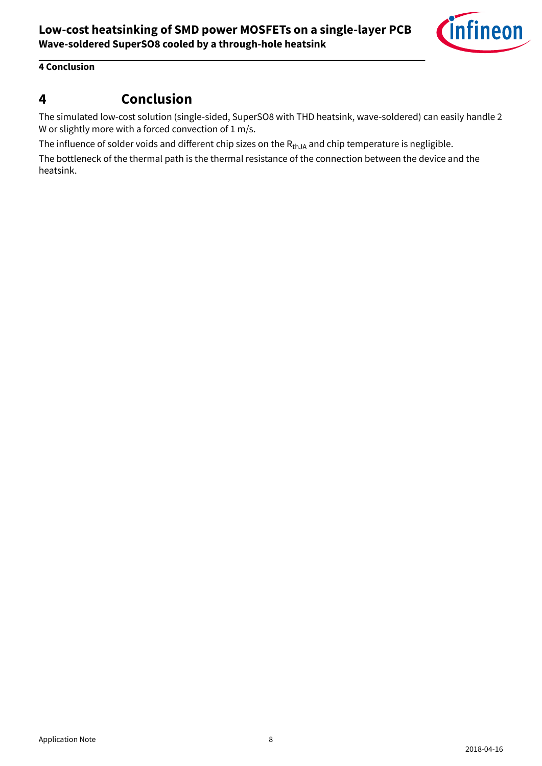

#### <span id="page-7-0"></span>**4 Conclusion**

### **4 Conclusion**

The simulated low-cost solution (single-sided, SuperSO8 with THD heatsink, wave-soldered) can easily handle 2 W or slightly more with a forced convection of 1 m/s.

The influence of solder voids and different chip sizes on the  $R_{thJA}$  and chip temperature is negligible.

The bottleneck of the thermal path is the thermal resistance of the connection between the device and the heatsink.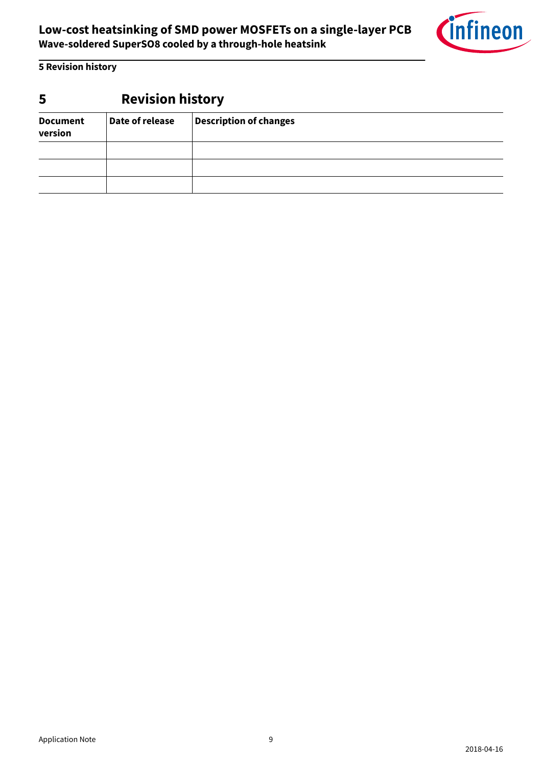

<span id="page-8-0"></span>**5 Revision history**

## **5 Revision history**

| <b>Document</b><br>version | Date of release | <b>Description of changes</b> |  |  |  |  |  |  |
|----------------------------|-----------------|-------------------------------|--|--|--|--|--|--|
|                            |                 |                               |  |  |  |  |  |  |
|                            |                 |                               |  |  |  |  |  |  |
|                            |                 |                               |  |  |  |  |  |  |